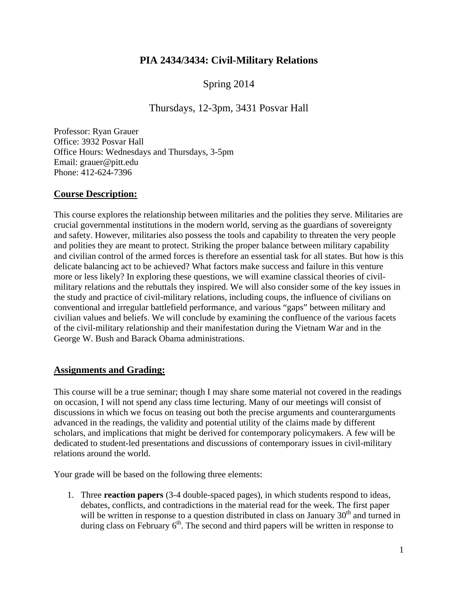# **PIA 2434/3434: Civil-Military Relations**

# Spring 2014

# Thursdays, 12-3pm, 3431 Posvar Hall

Professor: Ryan Grauer Office: 3932 Posvar Hall Office Hours: Wednesdays and Thursdays, 3-5pm Email: grauer@pitt.edu Phone: 412-624-7396

## **Course Description:**

This course explores the relationship between militaries and the polities they serve. Militaries are crucial governmental institutions in the modern world, serving as the guardians of sovereignty and safety. However, militaries also possess the tools and capability to threaten the very people and polities they are meant to protect. Striking the proper balance between military capability and civilian control of the armed forces is therefore an essential task for all states. But how is this delicate balancing act to be achieved? What factors make success and failure in this venture more or less likely? In exploring these questions, we will examine classical theories of civilmilitary relations and the rebuttals they inspired. We will also consider some of the key issues in the study and practice of civil-military relations, including coups, the influence of civilians on conventional and irregular battlefield performance, and various "gaps" between military and civilian values and beliefs. We will conclude by examining the confluence of the various facets of the civil-military relationship and their manifestation during the Vietnam War and in the George W. Bush and Barack Obama administrations.

## **Assignments and Grading:**

This course will be a true seminar; though I may share some material not covered in the readings on occasion, I will not spend any class time lecturing. Many of our meetings will consist of discussions in which we focus on teasing out both the precise arguments and counterarguments advanced in the readings, the validity and potential utility of the claims made by different scholars, and implications that might be derived for contemporary policymakers. A few will be dedicated to student-led presentations and discussions of contemporary issues in civil-military relations around the world.

Your grade will be based on the following three elements:

1. Three **reaction papers** (3-4 double-spaced pages), in which students respond to ideas, debates, conflicts, and contradictions in the material read for the week. The first paper will be written in response to a question distributed in class on January  $30<sup>th</sup>$  and turned in during class on February  $6<sup>th</sup>$ . The second and third papers will be written in response to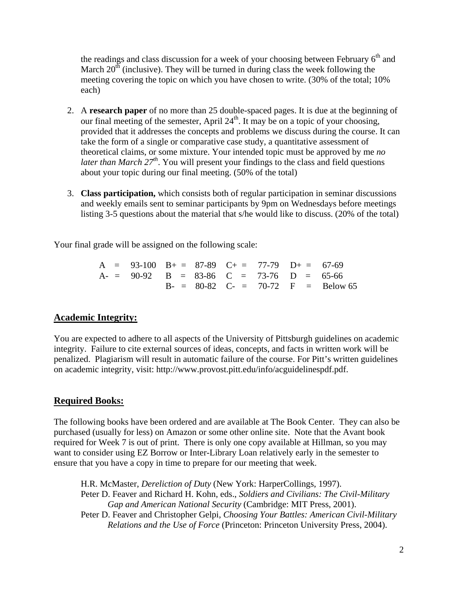the readings and class discussion for a week of your choosing between February  $6<sup>th</sup>$  and March  $20<sup>th</sup>$  (inclusive). They will be turned in during class the week following the meeting covering the topic on which you have chosen to write. (30% of the total; 10% each)

- 2. A **research paper** of no more than 25 double-spaced pages. It is due at the beginning of our final meeting of the semester, April  $24<sup>th</sup>$ . It may be on a topic of your choosing, provided that it addresses the concepts and problems we discuss during the course. It can take the form of a single or comparative case study, a quantitative assessment of theoretical claims, or some mixture. Your intended topic must be approved by me *no later than March*  $27<sup>th</sup>$ *.* You will present your findings to the class and field questions about your topic during our final meeting. (50% of the total)
- 3. **Class participation,** which consists both of regular participation in seminar discussions and weekly emails sent to seminar participants by 9pm on Wednesdays before meetings listing 3-5 questions about the material that s/he would like to discuss. (20% of the total)

Your final grade will be assigned on the following scale:

|  | $A = 93-100$ $B_+ = 87-89$ $C_+ = 77-79$ $D_+ = 67-69$ |  |  |                                       |
|--|--------------------------------------------------------|--|--|---------------------------------------|
|  | $A = 90-92$ B = 83-86 C = 73-76 D = 65-66              |  |  |                                       |
|  |                                                        |  |  | $B - = 80-82$ C- = 70-72 F = Below 65 |

# **Academic Integrity:**

You are expected to adhere to all aspects of the University of Pittsburgh guidelines on academic integrity. Failure to cite external sources of ideas, concepts, and facts in written work will be penalized. Plagiarism will result in automatic failure of the course. For Pitt's written guidelines on academic integrity, visit: http://www.provost.pitt.edu/info/acguidelinespdf.pdf.

# **Required Books:**

The following books have been ordered and are available at The Book Center. They can also be purchased (usually for less) on Amazon or some other online site. Note that the Avant book required for Week 7 is out of print. There is only one copy available at Hillman, so you may want to consider using EZ Borrow or Inter-Library Loan relatively early in the semester to ensure that you have a copy in time to prepare for our meeting that week.

H.R. McMaster, *Dereliction of Duty* (New York: HarperCollings, 1997). Peter D. Feaver and Richard H. Kohn, eds., *Soldiers and Civilians: The Civil-Military Gap and American National Security* (Cambridge: MIT Press, 2001). Peter D. Feaver and Christopher Gelpi, *Choosing Your Battles: American Civil-Military Relations and the Use of Force* (Princeton: Princeton University Press, 2004).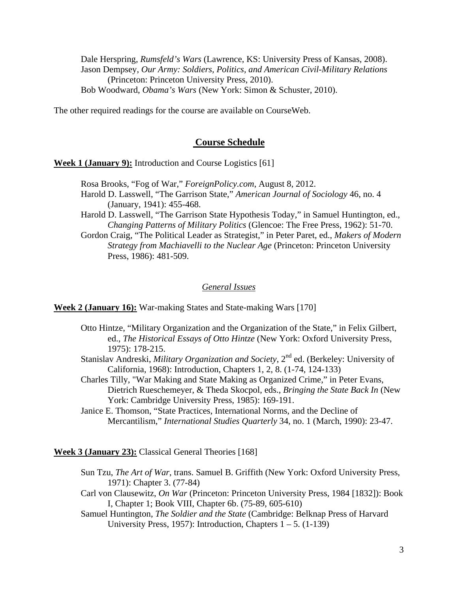Dale Herspring, *Rumsfeld's Wars* (Lawrence, KS: University Press of Kansas, 2008). Jason Dempsey, *Our Army: Soldiers, Politics, and American Civil-Military Relations* (Princeton: Princeton University Press, 2010). Bob Woodward, *Obama's Wars* (New York: Simon & Schuster, 2010).

The other required readings for the course are available on CourseWeb.

#### **Course Schedule**

**Week 1 (January 9):** Introduction and Course Logistics [61]

- Rosa Brooks, "Fog of War," *ForeignPolicy.com*, August 8, 2012. Harold D. Lasswell, "The Garrison State," *American Journal of Sociology* 46, no. 4 (January, 1941): 455-468.
- Harold D. Lasswell, "The Garrison State Hypothesis Today," in Samuel Huntington, ed., *Changing Patterns of Military Politics* (Glencoe: The Free Press, 1962): 51-70.

Gordon Craig, "The Political Leader as Strategist," in Peter Paret, ed., *Makers of Modern Strategy from Machiavelli to the Nuclear Age* (Princeton: Princeton University Press, 1986): 481-509.

#### *General Issues*

**Week 2 (January 16):** War-making States and State-making Wars [170]

- Otto Hintze, "Military Organization and the Organization of the State," in Felix Gilbert, ed., *The Historical Essays of Otto Hintze* (New York: Oxford University Press, 1975): 178-215.
- Stanislav Andreski, *Military Organization and Society*, 2<sup>nd</sup> ed. (Berkeley: University of California, 1968): Introduction, Chapters 1, 2, 8. (1-74, 124-133)
- Charles Tilly, "War Making and State Making as Organized Crime," in Peter Evans, Dietrich Rueschemeyer, & Theda Skocpol, eds., *Bringing the State Back In* (New York: Cambridge University Press, 1985): 169-191.
- Janice E. Thomson, "State Practices, International Norms, and the Decline of Mercantilism," *International Studies Quarterly* 34, no. 1 (March, 1990): 23-47.

**Week 3 (January 23):** Classical General Theories [168]

- Sun Tzu, *The Art of War*, trans. Samuel B. Griffith (New York: Oxford University Press, 1971): Chapter 3. (77-84)
- Carl von Clausewitz, *On War* (Princeton: Princeton University Press, 1984 [1832]): Book I, Chapter 1; Book VIII, Chapter 6b. (75-89, 605-610)
- Samuel Huntington, *The Soldier and the State* (Cambridge: Belknap Press of Harvard University Press, 1957): Introduction, Chapters  $1 - 5$ . (1-139)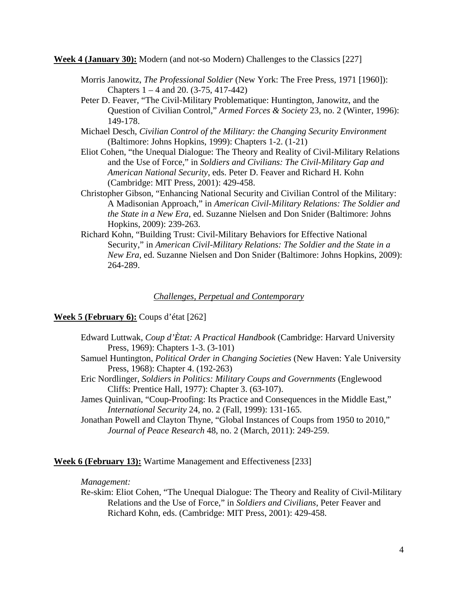**Week 4 (January 30):** Modern (and not-so Modern) Challenges to the Classics [227]

- Morris Janowitz, *The Professional Soldier* (New York: The Free Press, 1971 [1960]): Chapters 1 – 4 and 20. (3-75, 417-442)
- Peter D. Feaver, "The Civil-Military Problematique: Huntington, Janowitz, and the Question of Civilian Control," *Armed Forces & Society* 23, no. 2 (Winter, 1996): 149-178.
- Michael Desch, *Civilian Control of the Military: the Changing Security Environment* (Baltimore: Johns Hopkins, 1999): Chapters 1-2. (1-21)
- Eliot Cohen, "the Unequal Dialogue: The Theory and Reality of Civil-Military Relations and the Use of Force," in *Soldiers and Civilians: The Civil-Military Gap and American National Security*, eds. Peter D. Feaver and Richard H. Kohn (Cambridge: MIT Press, 2001): 429-458.
- Christopher Gibson, "Enhancing National Security and Civilian Control of the Military: A Madisonian Approach," in *American Civil-Military Relations: The Soldier and the State in a New Era*, ed. Suzanne Nielsen and Don Snider (Baltimore: Johns Hopkins, 2009): 239-263.
- Richard Kohn, "Building Trust: Civil-Military Behaviors for Effective National Security," in *American Civil-Military Relations: The Soldier and the State in a New Era*, ed. Suzanne Nielsen and Don Snider (Baltimore: Johns Hopkins, 2009): 264-289.

### *Challenges, Perpetual and Contemporary*

### **Week 5 (February 6):** Coups d'état [262]

- Edward Luttwak, *Coup d'Ètat: A Practical Handbook* (Cambridge: Harvard University Press, 1969): Chapters 1-3. (3-101)
- Samuel Huntington, *Political Order in Changing Societies* (New Haven: Yale University Press, 1968): Chapter 4. (192-263)
- Eric Nordlinger, *Soldiers in Politics: Military Coups and Governments* (Englewood Cliffs: Prentice Hall, 1977): Chapter 3. (63-107).
- James Quinlivan, "Coup-Proofing: Its Practice and Consequences in the Middle East," *International Security* 24, no. 2 (Fall, 1999): 131-165.
- Jonathan Powell and Clayton Thyne, "Global Instances of Coups from 1950 to 2010," *Journal of Peace Research* 48, no. 2 (March, 2011): 249-259.

**Week 6 (February 13):** Wartime Management and Effectiveness [233]

### *Management:*

Re-skim: Eliot Cohen, "The Unequal Dialogue: The Theory and Reality of Civil-Military Relations and the Use of Force," in *Soldiers and Civilians*, Peter Feaver and Richard Kohn, eds. (Cambridge: MIT Press, 2001): 429-458.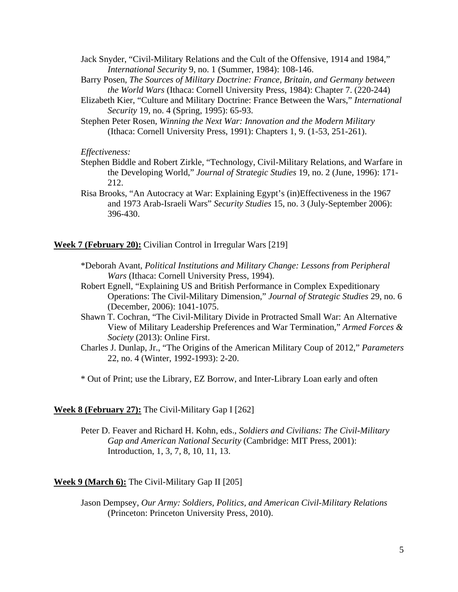- Jack Snyder, "Civil-Military Relations and the Cult of the Offensive, 1914 and 1984," *International Security* 9, no. 1 (Summer, 1984): 108-146.
- Barry Posen, *The Sources of Military Doctrine: France, Britain, and Germany between the World Wars* (Ithaca: Cornell University Press, 1984): Chapter 7. (220-244)
- Elizabeth Kier, "Culture and Military Doctrine: France Between the Wars," *International Security* 19, no. 4 (Spring, 1995): 65-93.
- Stephen Peter Rosen, *Winning the Next War: Innovation and the Modern Military* (Ithaca: Cornell University Press, 1991): Chapters 1, 9. (1-53, 251-261).

*Effectiveness:*

- Stephen Biddle and Robert Zirkle, "Technology, Civil-Military Relations, and Warfare in the Developing World," *Journal of Strategic Studies* 19, no. 2 (June, 1996): 171- 212.
- Risa Brooks, "An Autocracy at War: Explaining Egypt's (in)Effectiveness in the 1967 and 1973 Arab-Israeli Wars" *Security Studies* 15, no. 3 (July-September 2006): 396-430.

**Week 7 (February 20):** Civilian Control in Irregular Wars [219]

- \*Deborah Avant, *Political Institutions and Military Change: Lessons from Peripheral Wars* (Ithaca: Cornell University Press, 1994).
- Robert Egnell, "Explaining US and British Performance in Complex Expeditionary Operations: The Civil-Military Dimension," *Journal of Strategic Studies* 29, no. 6 (December, 2006): 1041-1075.
- Shawn T. Cochran, "The Civil-Military Divide in Protracted Small War: An Alternative View of Military Leadership Preferences and War Termination," *Armed Forces & Society* (2013): Online First.
- Charles J. Dunlap, Jr., "The Origins of the American Military Coup of 2012," *Parameters* 22, no. 4 (Winter, 1992-1993): 2-20.

\* Out of Print; use the Library, EZ Borrow, and Inter-Library Loan early and often

#### **Week 8 (February 27):** The Civil-Military Gap I [262]

Peter D. Feaver and Richard H. Kohn, eds., *Soldiers and Civilians: The Civil-Military Gap and American National Security* (Cambridge: MIT Press, 2001): Introduction, 1, 3, 7, 8, 10, 11, 13.

#### **Week 9 (March 6):** The Civil-Military Gap II [205]

Jason Dempsey, *Our Army: Soldiers, Politics, and American Civil-Military Relations* (Princeton: Princeton University Press, 2010).